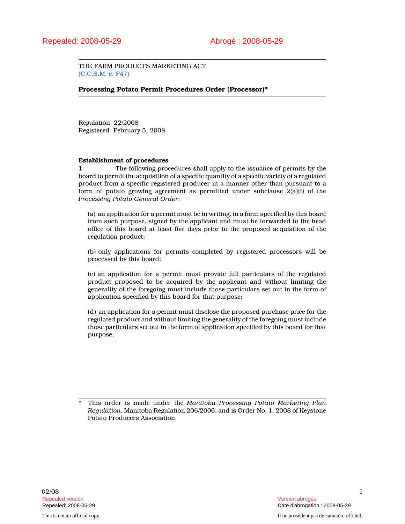THE FARM PRODUCTS MARKETING ACT (C.C.S.M. c. F47)

# Processing Potato Permit Procedures Order (Processor)\*

Regulation 22/2008 Registered February 5, 2008

#### Establishment of procedures

1 The following procedures shall apply to the issuance of permits by the board to permit the acquisition of a specific quantity of a specific variety of a regulated product from a specific registered producer in a manner other than pursuant to a form of potato growing agreement as permitted under subclause 2(a)(i) of the Processing Potato General Order:

(a) an application for a permit must be in writing, in a form specified by this board from such purpose, signed by the applicant and must be forwarded to the head office of this board at least five days prior to the proposed acquisition of the regulation product;

(b) only applications for permits completed by registered processors will be processed by this board;

(c) an application for a permit must provide full particulars of the regulated product proposed to be acquired by the applicant and without limiting the generality of the foregoing must include those particulars set out in the form of application specified by this board for that purpose;

(d) an application for a permit must disclose the proposed purchase price for the regulated product and without limiting the generality of the foregoing must include those particulars set out in the form of application specified by this board for that purpose;

This order is made under the Manitoba Processing Potato Marketing Plan Regulation, Manitoba Regulation 206/2006, and is Order No. 1, 2008 of Keystone Potato Producers Association.